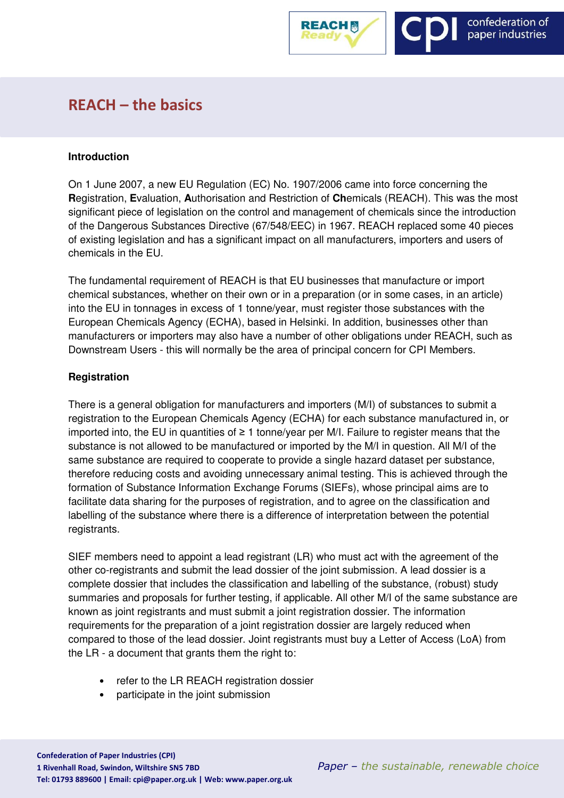

# REACH – the basics

#### **Introduction**

On 1 June 2007, a new EU Regulation (EC) No. 1907/2006 came into force concerning the **R**egistration, **E**valuation, **A**uthorisation and Restriction of **Ch**emicals (REACH). This was the most significant piece of legislation on the control and management of chemicals since the introduction of the Dangerous Substances Directive (67/548/EEC) in 1967. REACH replaced some 40 pieces of existing legislation and has a significant impact on all manufacturers, importers and users of chemicals in the EU.

The fundamental requirement of REACH is that EU businesses that manufacture or import chemical substances, whether on their own or in a preparation (or in some cases, in an article) into the EU in tonnages in excess of 1 tonne/year, must register those substances with the European Chemicals Agency (ECHA), based in Helsinki. In addition, businesses other than manufacturers or importers may also have a number of other obligations under REACH, such as Downstream Users - this will normally be the area of principal concern for CPI Members.

# **Registration**

There is a general obligation for manufacturers and importers (M/I) of substances to submit a registration to the European Chemicals Agency (ECHA) for each substance manufactured in, or imported into, the EU in quantities of ≥ 1 tonne/year per M/I. Failure to register means that the substance is not allowed to be manufactured or imported by the M/I in question. All M/I of the same substance are required to cooperate to provide a single hazard dataset per substance, therefore reducing costs and avoiding unnecessary animal testing. This is achieved through the formation of Substance Information Exchange Forums (SIEFs), whose principal aims are to facilitate data sharing for the purposes of registration, and to agree on the classification and labelling of the substance where there is a difference of interpretation between the potential registrants.

SIEF members need to appoint a lead registrant (LR) who must act with the agreement of the other co-registrants and submit the lead dossier of the joint submission. A lead dossier is a complete dossier that includes the classification and labelling of the substance, (robust) study summaries and proposals for further testing, if applicable. All other M/I of the same substance are known as joint registrants and must submit a joint registration dossier. The information requirements for the preparation of a joint registration dossier are largely reduced when compared to those of the lead dossier. Joint registrants must buy a Letter of Access (LoA) from the LR - a document that grants them the right to:

- refer to the LR REACH registration dossier
- participate in the joint submission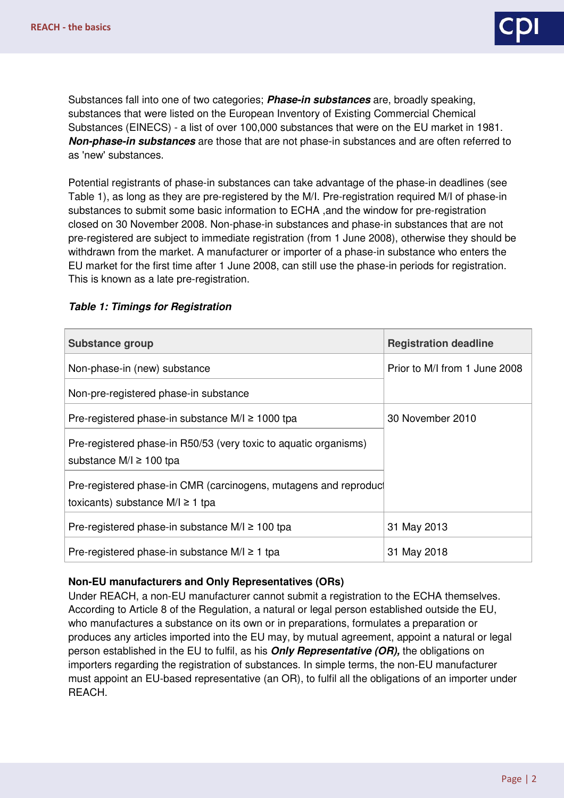

Substances fall into one of two categories; **Phase-in substances** are, broadly speaking, substances that were listed on the European Inventory of Existing Commercial Chemical Substances (EINECS) - a list of over 100,000 substances that were on the EU market in 1981. **Non-phase-in substances** are those that are not phase-in substances and are often referred to as 'new' substances.

Potential registrants of phase-in substances can take advantage of the phase-in deadlines (see Table 1), as long as they are pre-registered by the M/I. Pre-registration required M/I of phase-in substances to submit some basic information to ECHA ,and the window for pre-registration closed on 30 November 2008. Non-phase-in substances and phase-in substances that are not pre-registered are subject to immediate registration (from 1 June 2008), otherwise they should be withdrawn from the market. A manufacturer or importer of a phase-in substance who enters the EU market for the first time after 1 June 2008, can still use the phase-in periods for registration. This is known as a late pre-registration.

| <b>Substance group</b>                                                                                   | <b>Registration deadline</b>  |
|----------------------------------------------------------------------------------------------------------|-------------------------------|
| Non-phase-in (new) substance                                                                             | Prior to M/I from 1 June 2008 |
| Non-pre-registered phase-in substance                                                                    |                               |
| Pre-registered phase-in substance $M/I \ge 1000$ tpa                                                     | 30 November 2010              |
| Pre-registered phase-in R50/53 (very toxic to aquatic organisms)<br>substance $M/I \ge 100$ tpa          |                               |
| Pre-registered phase-in CMR (carcinogens, mutagens and reproduct<br>toxicants) substance $M/I \ge 1$ tpa |                               |
| Pre-registered phase-in substance $M/l \ge 100$ tpa                                                      | 31 May 2013                   |
| Pre-registered phase-in substance $M/l \ge 1$ tpa                                                        | 31 May 2018                   |

## **Table 1: Timings for Registration**

#### **Non-EU manufacturers and Only Representatives (ORs)**

Under REACH, a non-EU manufacturer cannot submit a registration to the ECHA themselves. According to Article 8 of the Regulation, a natural or legal person established outside the EU, who manufactures a substance on its own or in preparations, formulates a preparation or produces any articles imported into the EU may, by mutual agreement, appoint a natural or legal person established in the EU to fulfil, as his **Only Representative (OR),** the obligations on importers regarding the registration of substances. In simple terms, the non-EU manufacturer must appoint an EU-based representative (an OR), to fulfil all the obligations of an importer under REACH.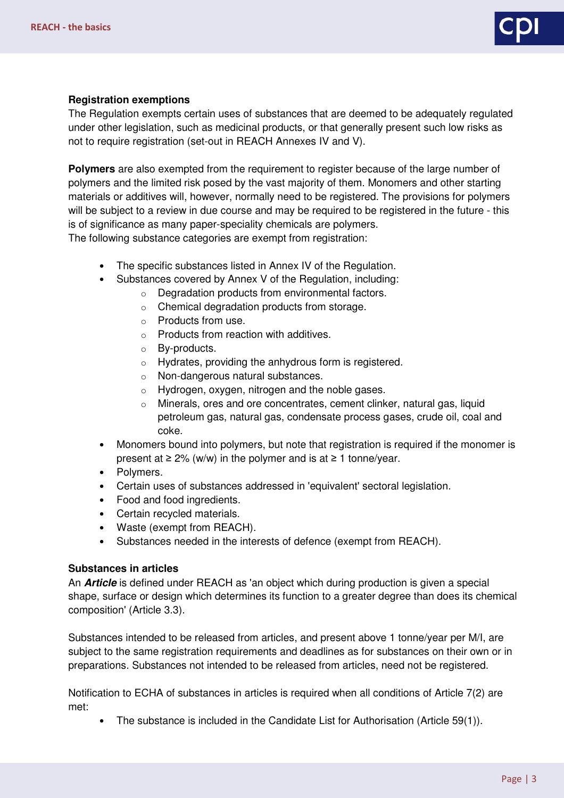# **Registration exemptions**

The Regulation exempts certain uses of substances that are deemed to be adequately regulated under other legislation, such as medicinal products, or that generally present such low risks as not to require registration (set-out in REACH Annexes IV and V).

**Polymers** are also exempted from the requirement to register because of the large number of polymers and the limited risk posed by the vast majority of them. Monomers and other starting materials or additives will, however, normally need to be registered. The provisions for polymers will be subject to a review in due course and may be required to be registered in the future - this is of significance as many paper-speciality chemicals are polymers. The following substance categories are exempt from registration:

- The specific substances listed in Annex IV of the Regulation.
- Substances covered by Annex V of the Regulation, including:
	- o Degradation products from environmental factors.
		- o Chemical degradation products from storage.
		- o Products from use.
		- o Products from reaction with additives.
		- o By-products.
		- o Hydrates, providing the anhydrous form is registered.
		- o Non-dangerous natural substances.
		- o Hydrogen, oxygen, nitrogen and the noble gases.
		- o Minerals, ores and ore concentrates, cement clinker, natural gas, liquid petroleum gas, natural gas, condensate process gases, crude oil, coal and coke.
- Monomers bound into polymers, but note that registration is required if the monomer is present at  $\geq 2\%$  (w/w) in the polymer and is at  $\geq 1$  tonne/year.
- Polymers.
- Certain uses of substances addressed in 'equivalent' sectoral legislation.
- Food and food ingredients.
- Certain recycled materials.
- Waste (exempt from REACH).
- Substances needed in the interests of defence (exempt from REACH).

#### **Substances in articles**

An **Article** is defined under REACH as 'an object which during production is given a special shape, surface or design which determines its function to a greater degree than does its chemical composition' (Article 3.3).

Substances intended to be released from articles, and present above 1 tonne/year per M/I, are subject to the same registration requirements and deadlines as for substances on their own or in preparations. Substances not intended to be released from articles, need not be registered.

Notification to ECHA of substances in articles is required when all conditions of Article 7(2) are met:

• The substance is included in the Candidate List for Authorisation (Article 59(1)).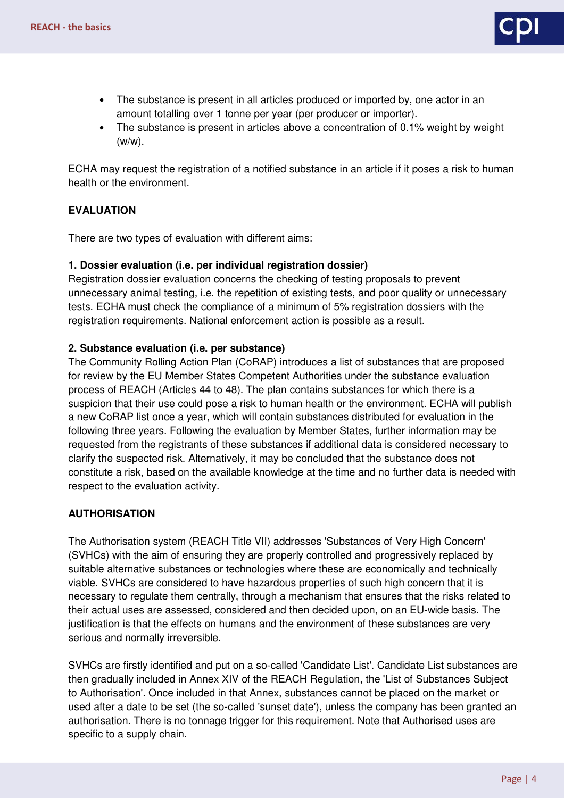

- The substance is present in all articles produced or imported by, one actor in an amount totalling over 1 tonne per year (per producer or importer).
- The substance is present in articles above a concentration of 0.1% weight by weight (w/w).

ECHA may request the registration of a notified substance in an article if it poses a risk to human health or the environment.

# **EVALUATION**

There are two types of evaluation with different aims:

## **1. Dossier evaluation (i.e. per individual registration dossier)**

Registration dossier evaluation concerns the checking of testing proposals to prevent unnecessary animal testing, i.e. the repetition of existing tests, and poor quality or unnecessary tests. ECHA must check the compliance of a minimum of 5% registration dossiers with the registration requirements. National enforcement action is possible as a result.

# **2. Substance evaluation (i.e. per substance)**

The Community Rolling Action Plan (CoRAP) introduces a list of substances that are proposed for review by the EU Member States Competent Authorities under the substance evaluation process of REACH (Articles 44 to 48). The plan contains substances for which there is a suspicion that their use could pose a risk to human health or the environment. ECHA will publish a new CoRAP list once a year, which will contain substances distributed for evaluation in the following three years. Following the evaluation by Member States, further information may be requested from the registrants of these substances if additional data is considered necessary to clarify the suspected risk. Alternatively, it may be concluded that the substance does not constitute a risk, based on the available knowledge at the time and no further data is needed with respect to the evaluation activity.

# **AUTHORISATION**

The Authorisation system (REACH Title VII) addresses 'Substances of Very High Concern' (SVHCs) with the aim of ensuring they are properly controlled and progressively replaced by suitable alternative substances or technologies where these are economically and technically viable. SVHCs are considered to have hazardous properties of such high concern that it is necessary to regulate them centrally, through a mechanism that ensures that the risks related to their actual uses are assessed, considered and then decided upon, on an EU-wide basis. The justification is that the effects on humans and the environment of these substances are very serious and normally irreversible.

SVHCs are firstly identified and put on a so-called 'Candidate List'. Candidate List substances are then gradually included in Annex XIV of the REACH Regulation, the 'List of Substances Subject to Authorisation'. Once included in that Annex, substances cannot be placed on the market or used after a date to be set (the so-called 'sunset date'), unless the company has been granted an authorisation. There is no tonnage trigger for this requirement. Note that Authorised uses are specific to a supply chain.